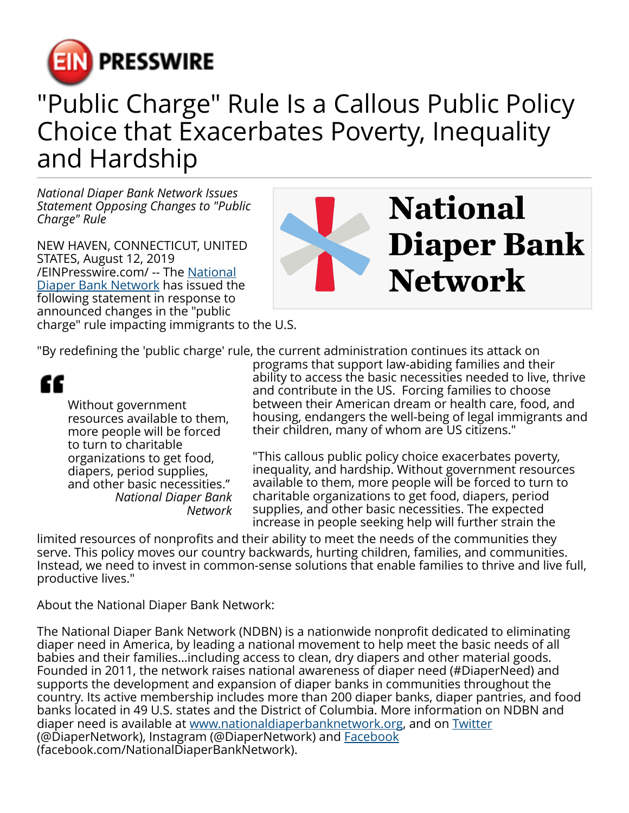

## "Public Charge" Rule Is a Callous Public Policy Choice that Exacerbates Poverty, Inequality and Hardship

*National Diaper Bank Network Issues Statement Opposing Changes to "Public Charge" Rule*

NEW HAVEN, CONNECTICUT, UNITED STATES, August 12, 2019 [/EINPresswire.com/](http://www.einpresswire.com) -- The [National](http://nationaldiaperbanknetwork.org) [Diaper Bank Network](http://nationaldiaperbanknetwork.org) has issued the following statement in response to announced changes in the "public charge" rule impacting immigrants to the U.S.



"By redefining the 'public charge' rule, the current administration continues its attack on

"

Without government resources available to them, more people will be forced to turn to charitable organizations to get food, diapers, period supplies, and other basic necessities." *National Diaper Bank Network*

programs that support law-abiding families and their ability to access the basic necessities needed to live, thrive and contribute in the US. Forcing families to choose between their American dream or health care, food, and housing, endangers the well-being of legal immigrants and their children, many of whom are US citizens."

"This callous public policy choice exacerbates poverty, inequality, and hardship. Without government resources available to them, more people will be forced to turn to charitable organizations to get food, diapers, period supplies, and other basic necessities. The expected increase in people seeking help will further strain the

limited resources of nonprofits and their ability to meet the needs of the communities they serve. This policy moves our country backwards, hurting children, families, and communities. Instead, we need to invest in common-sense solutions that enable families to thrive and live full, productive lives."

About the National Diaper Bank Network:

The National Diaper Bank Network (NDBN) is a nationwide nonprofit dedicated to eliminating diaper need in America, by leading a national movement to help meet the basic needs of all babies and their families…including access to clean, dry diapers and other material goods. Founded in 2011, the network raises national awareness of diaper need (#DiaperNeed) and supports the development and expansion of diaper banks in communities throughout the country. Its active membership includes more than 200 diaper banks, diaper pantries, and food banks located in 49 U.S. states and the District of Columbia. More information on NDBN and diaper need is available at [www.nationaldiaperbanknetwork.org](http://www.nationaldiaperbanknetwork.org), and on [Twitter](http://twitter.com/diapernetwork) (@DiaperNetwork), Instagram (@DiaperNetwork) and **Facebook** (facebook.com/NationalDiaperBankNetwork).